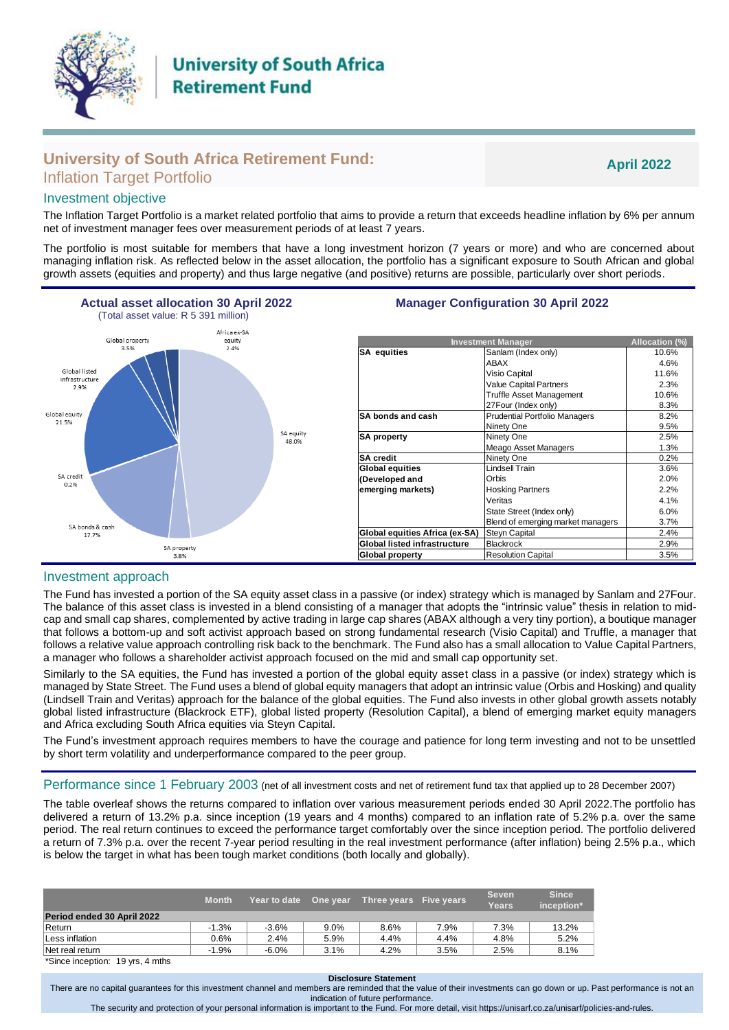

# **University of South Africa Retirement Fund:** Inflation Target Portfolio

**April 2022**

# Investment objective

The Inflation Target Portfolio is a market related portfolio that aims to provide a return that exceeds headline inflation by 6% per annum net of investment manager fees over measurement periods of at least 7 years.

The portfolio is most suitable for members that have a long investment horizon (7 years or more) and who are concerned about managing inflation risk. As reflected below in the asset allocation, the portfolio has a significant exposure to South African and global growth assets (equities and property) and thus large negative (and positive) returns are possible, particularly over short periods.



### Investment approach

The Fund has invested a portion of the SA equity asset class in a passive (or index) strategy which is managed by Sanlam and 27Four. The balance of this asset class is invested in a blend consisting of a manager that adopts the "intrinsic value" thesis in relation to midcap and small cap shares, complemented by active trading in large cap shares (ABAX although a very tiny portion), a boutique manager that follows a bottom-up and soft activist approach based on strong fundamental research (Visio Capital) and Truffle, a manager that follows a relative value approach controlling risk back to the benchmark. The Fund also has a small allocation to Value Capital Partners, a manager who follows a shareholder activist approach focused on the mid and small cap opportunity set.

Similarly to the SA equities, the Fund has invested a portion of the global equity asset class in a passive (or index) strategy which is managed by State Street. The Fund uses a blend of global equity managers that adopt an intrinsic value (Orbis and Hosking) and quality (Lindsell Train and Veritas) approach for the balance of the global equities. The Fund also invests in other global growth assets notably global listed infrastructure (Blackrock ETF), global listed property (Resolution Capital), a blend of emerging market equity managers and Africa excluding South Africa equities via Steyn Capital.

The Fund's investment approach requires members to have the courage and patience for long term investing and not to be unsettled by short term volatility and underperformance compared to the peer group.

Performance since 1 February 2003 (net of all investment costs and net of retirement fund tax that applied up to 28 December 2007)

The table overleaf shows the returns compared to inflation over various measurement periods ended 30 April 2022.The portfolio has delivered a return of 13.2% p.a. since inception (19 years and 4 months) compared to an inflation rate of 5.2% p.a. over the same period. The real return continues to exceed the performance target comfortably over the since inception period. The portfolio delivered a return of 7.3% p.a. over the recent 7-year period resulting in the real investment performance (after inflation) being 2.5% p.a., which is below the target in what has been tough market conditions (both locally and globally).

|                                  | <b>Month</b> | Year to date | One year | Three years Five years |      | <b>Seven</b><br>Years | <b>Since</b><br>inception* |
|----------------------------------|--------------|--------------|----------|------------------------|------|-----------------------|----------------------------|
| Period ended 30 April 2022       |              |              |          |                        |      |                       |                            |
| Return                           | $-1.3%$      | $-3.6%$      | 9.0%     | $8.6\%$                | 7.9% | 7.3%                  | 13.2%                      |
| Less inflation                   | 0.6%         | 2.4%         | 5.9%     | 4.4%                   | 4.4% | 4.8%                  | 5.2%                       |
| Net real return                  | $-1.9%$      | $-6.0\%$     | 3.1%     | 4.2%                   | 3.5% | 2.5%                  | 8.1%                       |
| *Since inception: 19 vrs. 4 mths |              |              |          |                        |      |                       |                            |

#### **Disclosure Statement**

There are no capital guarantees for this investment channel and members are reminded that the value of their investments can go down or up. Past performance is not an indication of future performance.

The security and protection of your personal information is important to the Fund. For more detail, visi[t https://unisarf.co.za/u](https://unisarf.co.za/)nisarf/policies-and-rules.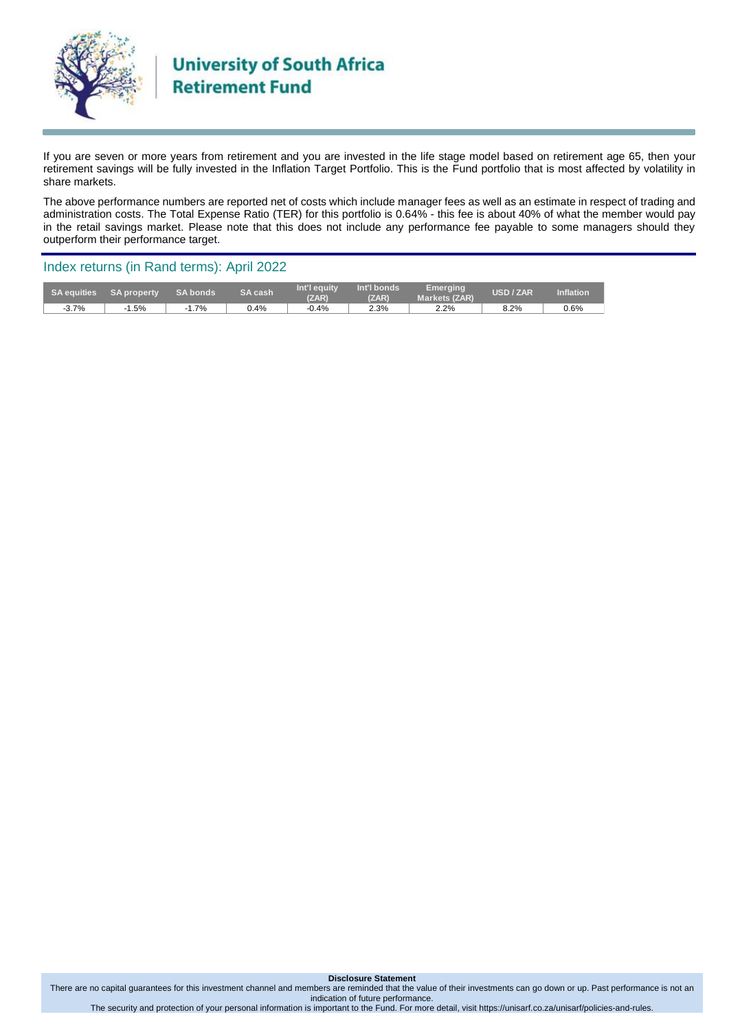

If you are seven or more years from retirement and you are invested in the life stage model based on retirement age 65, then your retirement savings will be fully invested in the Inflation Target Portfolio. This is the Fund portfolio that is most affected by volatility in share markets.

The above performance numbers are reported net of costs which include manager fees as well as an estimate in respect of trading and administration costs. The Total Expense Ratio (TER) for this portfolio is 0.64% - this fee is about 40% of what the member would pay in the retail savings market. Please note that this does not include any performance fee payable to some managers should they outperform their performance target.

### Index returns (in Rand terms): April 2022

| SA equities | <b>SA property</b> | <b>SA bonds</b> | <b>SA cash</b> | Int'l equity<br>(ZAR) | Int'l bonds<br>(ZAR) | Emerging<br><b>Markets (ZAR)</b> | <b>USD / ZAR</b> | <b>Inflation</b> |
|-------------|--------------------|-----------------|----------------|-----------------------|----------------------|----------------------------------|------------------|------------------|
| $-3.7%$     | .5%                | 1.7%<br>$-1$    | 0.4%           | $-0.4%$               | 2.3%                 | 2.2%                             | 8.2%             | 0.6%             |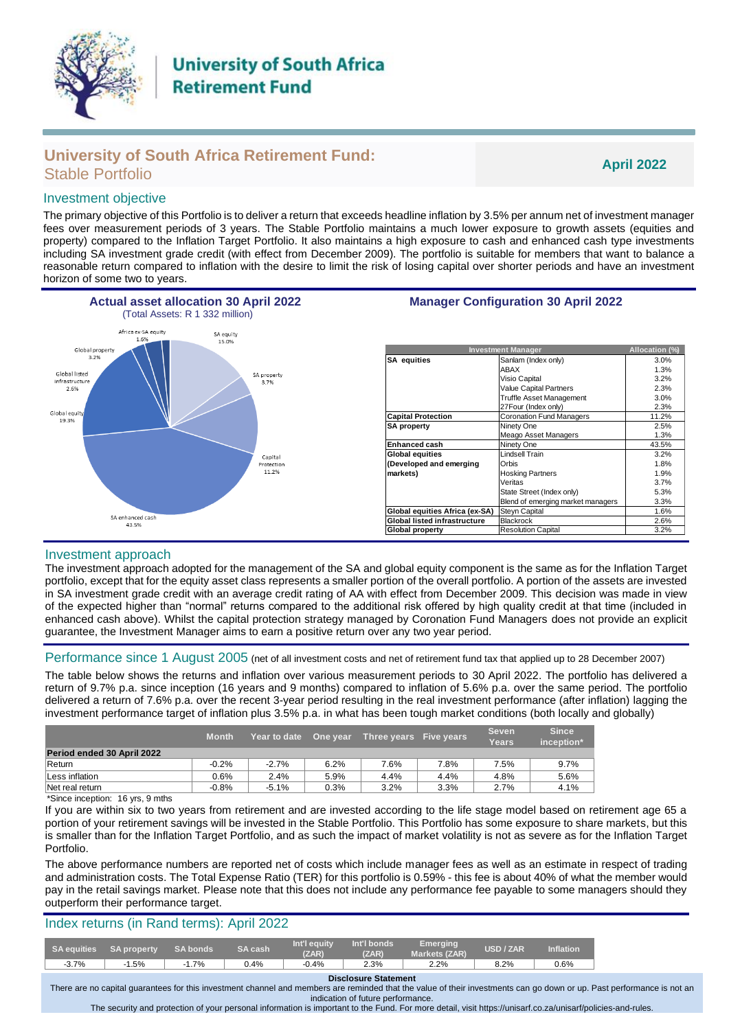

# **University of South Africa Retirement Fund:** Stable Portfolio **April 2022**

## Investment objective

The primary objective of this Portfolio is to deliver a return that exceeds headline inflation by 3.5% per annum net of investment manager fees over measurement periods of 3 years. The Stable Portfolio maintains a much lower exposure to growth assets (equities and property) compared to the Inflation Target Portfolio. It also maintains a high exposure to cash and enhanced cash type investments including SA investment grade credit (with effect from December 2009). The portfolio is suitable for members that want to balance a reasonable return compared to inflation with the desire to limit the risk of losing capital over shorter periods and have an investment horizon of some two to years.



#### Investment approach

The investment approach adopted for the management of the SA and global equity component is the same as for the Inflation Target portfolio, except that for the equity asset class represents a smaller portion of the overall portfolio. A portion of the assets are invested in SA investment grade credit with an average credit rating of AA with effect from December 2009. This decision was made in view of the expected higher than "normal" returns compared to the additional risk offered by high quality credit at that time (included in enhanced cash above). Whilst the capital protection strategy managed by Coronation Fund Managers does not provide an explicit guarantee, the Investment Manager aims to earn a positive return over any two year period.

#### Performance since 1 August 2005 (net of all investment costs and net of retirement fund tax that applied up to 28 December 2007)

The table below shows the returns and inflation over various measurement periods to 30 April 2022. The portfolio has delivered a return of 9.7% p.a. since inception (16 years and 9 months) compared to inflation of 5.6% p.a. over the same period. The portfolio delivered a return of 7.6% p.a. over the recent 3-year period resulting in the real investment performance (after inflation) lagging the investment performance target of inflation plus 3.5% p.a. in what has been tough market conditions (both locally and globally)

|                            | <b>Month</b> | Year to date | One year | Three years Five years |      | <b>Seven</b><br>Years | <b>Since</b><br>inception* |
|----------------------------|--------------|--------------|----------|------------------------|------|-----------------------|----------------------------|
| Period ended 30 April 2022 |              |              |          |                        |      |                       |                            |
| Return                     | $-0.2%$      | $-2.7%$      | 6.2%     | 7.6%                   | 7.8% | 7.5%                  | 9.7%                       |
| Less inflation             | 0.6%         | 2.4%         | 5.9%     | 4.4%                   | 4.4% | 4.8%                  | 5.6%                       |
| Net real return            | $-0.8%$      | $-5.1%$      | 0.3%     | 3.2%                   | 3.3% | 2.7%                  | 4.1%                       |

\*Since inception: 16 yrs, 9 mths

If you are within six to two years from retirement and are invested according to the life stage model based on retirement age 65 a portion of your retirement savings will be invested in the Stable Portfolio. This Portfolio has some exposure to share markets, but this is smaller than for the Inflation Target Portfolio, and as such the impact of market volatility is not as severe as for the Inflation Target Portfolio.

The above performance numbers are reported net of costs which include manager fees as well as an estimate in respect of trading and administration costs. The Total Expense Ratio (TER) for this portfolio is 0.59% - this fee is about 40% of what the member would pay in the retail savings market. Please note that this does not include any performance fee payable to some managers should they outperform their performance target.

# Index returns (in Rand terms): April 2022

| <b>SA equities</b> | <b>SA property</b> | <b>SA bonds</b> | <b>SA cash</b> | Int'l eauity.<br>(ZAR) | Int'l bonds<br>(ZAR) | Emerging<br>Markets (ZAR) | <b>USD / ZAR</b> | <b>Inflation</b> |
|--------------------|--------------------|-----------------|----------------|------------------------|----------------------|---------------------------|------------------|------------------|
| $-3.7%$            | .5%                | $-1.7%$         | 0.4%           | $-0.4%$                | 2.3%                 | 2.2%                      | 8.2%             | 0.6%             |

**Disclosure Statement**

There are no capital guarantees for this investment channel and members are reminded that the value of their investments can go down or up. Past performance is not an indication of future performance. The security and protection of your personal information is important to the Fund. For more detail, visi[t https://unisarf.co.za/u](https://unisarf.co.za/)nisarf/policies-and-rules.